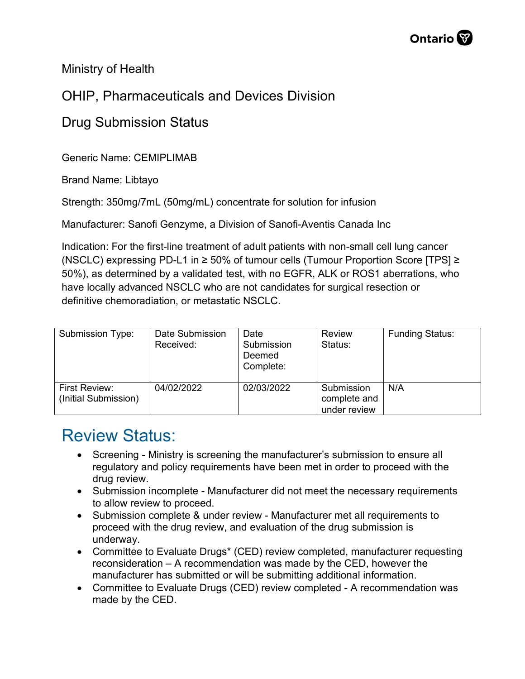Ministry of Health

## OHIP, Pharmaceuticals and Devices Division

## Drug Submission Status

Generic Name: CEMIPLIMAB

Brand Name: Libtayo

Strength: 350mg/7mL (50mg/mL) concentrate for solution for infusion

Manufacturer: Sanofi Genzyme, a Division of Sanofi-Aventis Canada Inc

Indication: For the first-line treatment of adult patients with non-small cell lung cancer (NSCLC) expressing PD-L1 in ≥ 50% of tumour cells (Tumour Proportion Score [TPS] ≥ 50%), as determined by a validated test, with no EGFR, ALK or ROS1 aberrations, who have locally advanced NSCLC who are not candidates for surgical resection or definitive chemoradiation, or metastatic NSCLC.

| Submission Type:                             | Date Submission<br>Received: | Date<br>Submission<br>Deemed<br>Complete: | Review<br>Status:                          | <b>Funding Status:</b> |
|----------------------------------------------|------------------------------|-------------------------------------------|--------------------------------------------|------------------------|
| <b>First Review:</b><br>(Initial Submission) | 04/02/2022                   | 02/03/2022                                | Submission<br>complete and<br>under review | N/A                    |

## Review Status:

- Screening Ministry is screening the manufacturer's submission to ensure all regulatory and policy requirements have been met in order to proceed with the drug review.
- Submission incomplete Manufacturer did not meet the necessary requirements to allow review to proceed.
- Submission complete & under review Manufacturer met all requirements to proceed with the drug review, and evaluation of the drug submission is underway.
- Committee to Evaluate Drugs\* (CED) review completed, manufacturer requesting reconsideration – A recommendation was made by the CED, however the manufacturer has submitted or will be submitting additional information.
- Committee to Evaluate Drugs (CED) review completed A recommendation was made by the CED.